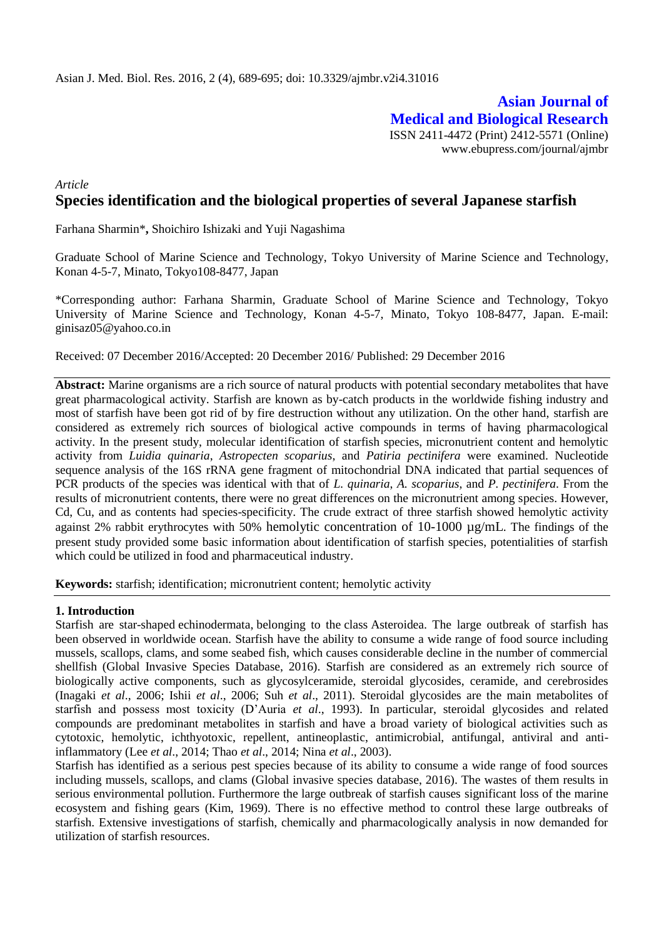**Asian Journal of Medical and Biological Research** ISSN 2411-4472 (Print) 2412-5571 (Online) www.ebupress.com/journal/ajmbr

# *Article* **Species identification and the biological properties of several Japanese starfish**

Farhana Sharmin\***,** Shoichiro Ishizaki and Yuji Nagashima

Graduate School of Marine Science and Technology, Tokyo University of Marine Science and Technology, Konan 4-5-7, Minato, Tokyo108-8477, Japan

\*Corresponding author: Farhana Sharmin, Graduate School of Marine Science and Technology, Tokyo University of Marine Science and Technology, Konan 4-5-7, Minato, Tokyo 108-8477, Japan. E-mail: ginisaz05@yahoo.co.in

Received: 07 December 2016/Accepted: 20 December 2016/ Published: 29 December 2016

**Abstract:** Marine organisms are a rich source of natural products with potential secondary metabolites that have great pharmacological activity. Starfish are known as by-catch products in the worldwide fishing industry and most of starfish have been got rid of by fire destruction without any utilization. On the other hand, starfish are considered as extremely rich sources of biological active compounds in terms of having pharmacological activity. In the present study, molecular identification of starfish species, micronutrient content and hemolytic activity from *Luidia quinaria*, *Astropecten scoparius*, and *Patiria pectinifera* were examined. Nucleotide sequence analysis of the 16S rRNA gene fragment of mitochondrial DNA indicated that partial sequences of PCR products of the species was identical with that of *L. quinaria*, *A. scoparius*, and *P. pectinifera*. From the results of micronutrient contents, there were no great differences on the micronutrient among species. However, Cd, Cu, and as contents had species-specificity. The crude extract of three starfish showed hemolytic activity against 2% rabbit erythrocytes with 50% hemolytic concentration of 10-1000 µg/mL. The findings of the present study provided some basic information about identification of starfish species, potentialities of starfish which could be utilized in food and pharmaceutical industry.

**Keywords:** starfish; identification; micronutrient content; hemolytic activity

### **1. Introduction**

Starfish are star-shaped echinodermata, belonging to the class Asteroidea. The large outbreak of starfish has been observed in worldwide ocean. Starfish have the ability to consume a wide range of food source including mussels, scallops, clams, and some seabed fish, which causes considerable decline in the number of commercial shellfish (Global Invasive Species Database, 2016). Starfish are considered as an extremely rich source of biologically active components, such as glycosylceramide, steroidal glycosides, ceramide, and cerebrosides (Inagaki *et al*., 2006; Ishii *et al*., 2006; Suh *et al*., 2011). Steroidal glycosides are the main metabolites of starfish and possess most toxicity (D'Auria *et al*., 1993). In particular, steroidal glycosides and related compounds are predominant metabolites in starfish and have a broad variety of biological activities such as cytotoxic, hemolytic, ichthyotoxic, repellent, antineoplastic, antimicrobial, antifungal, antiviral and antiinflammatory (Lee *et al*., 2014; Thao *et al*., 2014; Nina *et al*., 2003).

Starfish has identified as a serious pest species because of its ability to consume a wide range of food sources including mussels, scallops, and clams (Global invasive species database, 2016). The wastes of them results in serious environmental pollution. Furthermore the large outbreak of starfish causes significant loss of the marine ecosystem and fishing gears (Kim, 1969). There is no effective method to control these large outbreaks of starfish. Extensive investigations of starfish, chemically and pharmacologically analysis in now demanded for utilization of starfish resources.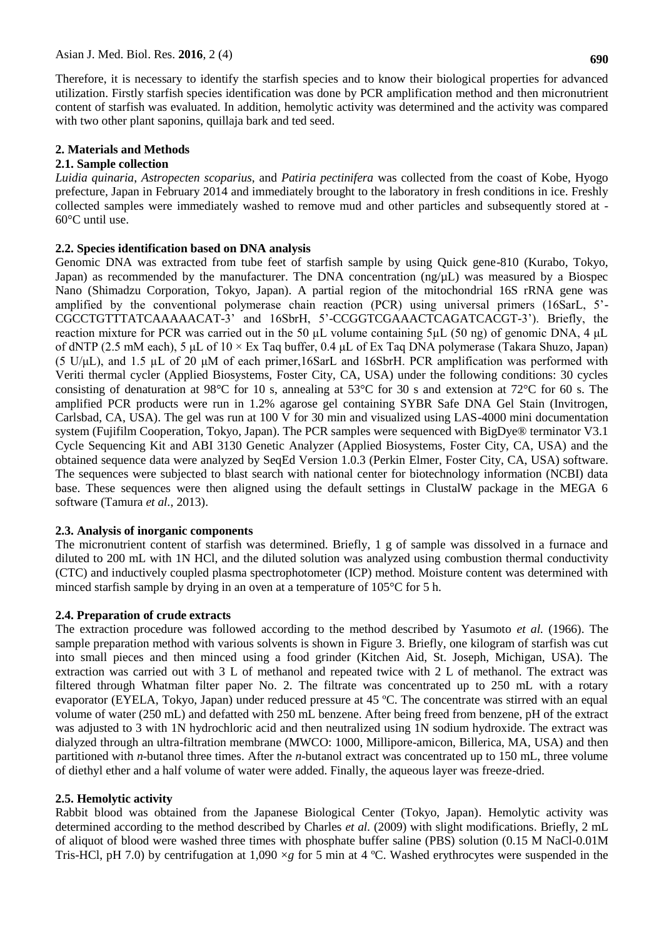Therefore, it is necessary to identify the starfish species and to know their biological properties for advanced utilization. Firstly starfish species identification was done by PCR amplification method and then micronutrient content of starfish was evaluated. In addition, hemolytic activity was determined and the activity was compared with two other plant saponins, quillaja bark and ted seed.

## **2. Materials and Methods**

## **2.1. Sample collection**

*Luidia quinaria*, *Astropecten scoparius*, and *Patiria pectinifera* was collected from the coast of Kobe, Hyogo prefecture, Japan in February 2014 and immediately brought to the laboratory in fresh conditions in ice. Freshly collected samples were immediately washed to remove mud and other particles and subsequently stored at - 60°C until use.

## **2.2. Species identification based on DNA analysis**

Genomic DNA was extracted from tube feet of starfish sample by using Quick gene-810 (Kurabo, Tokyo, Japan) as recommended by the manufacturer. The DNA concentration  $(ng/µL)$  was measured by a Biospec Nano (Shimadzu Corporation, Tokyo, Japan). A partial region of the mitochondrial 16S rRNA gene was amplified by the conventional polymerase chain reaction (PCR) using universal primers (16SarL, 5'- CGCCTGTTTATCAAAAACAT-3' and 16SbrH, 5'-CCGGTCGAAACTCAGATCACGT-3'). Briefly, the reaction mixture for PCR was carried out in the 50 µL volume containing 5µL (50 ng) of genomic DNA, 4 μL of dNTP (2.5 mM each), 5 μL of 10 × Ex Taq buffer, 0.4 μL of Ex Taq DNA polymerase (Takara Shuzo, Japan) (5 U/μL), and 1.5 µL of 20 μM of each primer,16SarL and 16SbrH. PCR amplification was performed with Veriti thermal cycler (Applied Biosystems, Foster City, CA, USA) under the following conditions: 30 cycles consisting of denaturation at 98°C for 10 s, annealing at 53°C for 30 s and extension at 72°C for 60 s. The amplified PCR products were run in 1.2% agarose gel containing SYBR Safe DNA Gel Stain (Invitrogen, Carlsbad, CA, USA). The gel was run at 100 V for 30 min and visualized using LAS-4000 mini documentation system (Fujifilm Cooperation, Tokyo, Japan). The PCR samples were sequenced with BigDye® terminator V3.1 Cycle Sequencing Kit and ABI 3130 Genetic Analyzer (Applied Biosystems, Foster City, CA, USA) and the obtained sequence data were analyzed by SeqEd Version 1.0.3 (Perkin Elmer, Foster City, CA, USA) software. The sequences were subjected to blast search with national center for biotechnology information (NCBI) data base. These sequences were then aligned using the default settings in ClustalW package in the MEGA 6 software (Tamura *et al.*, 2013).

## **2.3. Analysis of inorganic components**

The micronutrient content of starfish was determined. Briefly, 1 g of sample was dissolved in a furnace and diluted to 200 mL with 1N HCl, and the diluted solution was analyzed using combustion thermal conductivity (CTC) and inductively coupled plasma spectrophotometer (ICP) method. Moisture content was determined with minced starfish sample by drying in an oven at a temperature of 105°C for 5 h.

## **2.4. Preparation of crude extracts**

The extraction procedure was followed according to the method described by Yasumoto *et al.* (1966). The sample preparation method with various solvents is shown in Figure 3. Briefly, one kilogram of starfish was cut into small pieces and then minced using a food grinder (Kitchen Aid, St. Joseph, Michigan, USA). The extraction was carried out with 3 L of methanol and repeated twice with 2 L of methanol. The extract was filtered through Whatman filter paper No. 2. The filtrate was concentrated up to 250 mL with a rotary evaporator (EYELA, Tokyo, Japan) under reduced pressure at 45 ºC. The concentrate was stirred with an equal volume of water (250 mL) and defatted with 250 mL benzene. After being freed from benzene, pH of the extract was adjusted to 3 with 1N hydrochloric acid and then neutralized using 1N sodium hydroxide. The extract was dialyzed through an ultra-filtration membrane (MWCO: 1000, Millipore-amicon, Billerica, MA, USA) and then partitioned with *n*-butanol three times. After the *n*-butanol extract was concentrated up to 150 mL, three volume of diethyl ether and a half volume of water were added. Finally, the aqueous layer was freeze-dried.

## **2.5. Hemolytic activity**

Rabbit blood was obtained from the Japanese Biological Center (Tokyo, Japan). Hemolytic activity was determined according to the method described by Charles *et al.* (2009) with slight modifications. Briefly, 2 mL of aliquot of blood were washed three times with phosphate buffer saline (PBS) solution (0.15 M NaCl-0.01M Tris-HCl, pH 7.0) by centrifugation at 1,090 ×*g* for 5 min at 4 ºC. Washed erythrocytes were suspended in the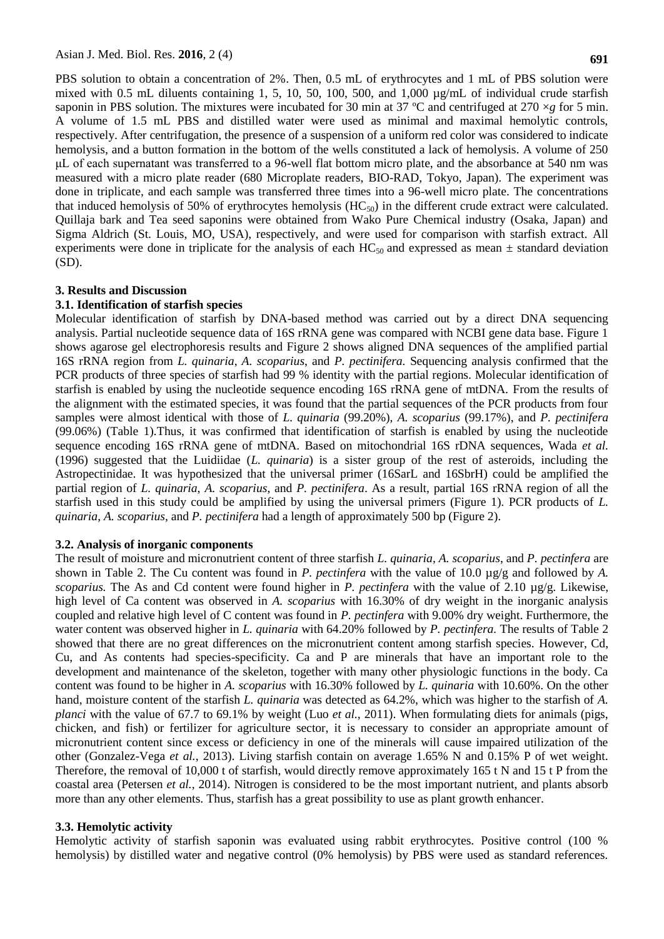PBS solution to obtain a concentration of 2%. Then, 0.5 mL of erythrocytes and 1 mL of PBS solution were mixed with 0.5 mL diluents containing 1, 5, 10, 50, 100, 500, and 1,000  $\mu$ g/mL of individual crude starfish saponin in PBS solution. The mixtures were incubated for 30 min at 37  $^{\circ}$ C and centrifuged at 270  $\times$ *g* for 5 min. A volume of 1.5 mL PBS and distilled water were used as minimal and maximal hemolytic controls, respectively. After centrifugation, the presence of a suspension of a uniform red color was considered to indicate hemolysis, and a button formation in the bottom of the wells constituted a lack of hemolysis. A volume of 250 μL of each supernatant was transferred to a 96-well flat bottom micro plate, and the absorbance at 540 nm was measured with a micro plate reader (680 Microplate readers, BIO-RAD, Tokyo, Japan). The experiment was done in triplicate, and each sample was transferred three times into a 96-well micro plate. The concentrations that induced hemolysis of 50% of erythrocytes hemolysis  $(HC_{50})$  in the different crude extract were calculated. Quillaja bark and Tea seed saponins were obtained from Wako Pure Chemical industry (Osaka, Japan) and Sigma Aldrich (St. Louis, MO, USA), respectively, and were used for comparison with starfish extract. All experiments were done in triplicate for the analysis of each  $HC_{50}$  and expressed as mean  $\pm$  standard deviation (SD).

### **3. Results and Discussion**

### **3.1. Identification of starfish species**

Molecular identification of starfish by DNA-based method was carried out by a direct DNA sequencing analysis. Partial nucleotide sequence data of 16S rRNA gene was compared with NCBI gene data base. Figure 1 shows agarose gel electrophoresis results and Figure 2 shows aligned DNA sequences of the amplified partial 16S rRNA region from *L. quinaria*, *A. scoparius*, and *P. pectinifera.* Sequencing analysis confirmed that the PCR products of three species of starfish had 99 % identity with the partial regions. Molecular identification of starfish is enabled by using the nucleotide sequence encoding 16S rRNA gene of mtDNA. From the results of the alignment with the estimated species, it was found that the partial sequences of the PCR products from four samples were almost identical with those of *L. quinaria* (99.20%), *A. scoparius* (99.17%), and *P. pectinifera*  (99.06%) (Table 1)*.*Thus, it was confirmed that identification of starfish is enabled by using the nucleotide sequence encoding 16S rRNA gene of mtDNA. Based on mitochondrial 16S rDNA sequences, Wada *et al.* (1996) suggested that the Luidiidae (*L. quinaria*) is a sister group of the rest of asteroids, including the Astropectinidae. It was hypothesized that the universal primer (16SarL and 16SbrH) could be amplified the partial region of *L. quinaria*, *A. scoparius*, and *P. pectinifera*. As a result, partial 16S rRNA region of all the starfish used in this study could be amplified by using the universal primers (Figure 1). PCR products of *L. quinaria*, *A. scoparius*, and *P. pectinifera* had a length of approximately 500 bp (Figure 2).

### **3.2. Analysis of inorganic components**

The result of moisture and micronutrient content of three starfish *L. quinaria*, *A. scoparius*, and *P. pectinfera* are shown in Table 2. The Cu content was found in *P. pectinfera* with the value of 10.0 µg/g and followed by *A*. *scoparius.* The As and Cd content were found higher in *P. pectinfera* with the value of 2.10 µg/g. Likewise, high level of Ca content was observed in *A. scoparius* with 16.30% of dry weight in the inorganic analysis coupled and relative high level of C content was found in *P. pectinfera* with 9.00% dry weight. Furthermore, the water content was observed higher in *L. quinaria* with 64.20% followed by *P. pectinfera.* The results of Table 2 showed that there are no great differences on the micronutrient content among starfish species. However, Cd, Cu, and As contents had species-specificity. Ca and P are minerals that have an important role to the development and maintenance of the skeleton, together with many other physiologic functions in the body. Ca content was found to be higher in *A. scoparius* with 16.30% followed by *L. quinaria* with 10.60%. On the other hand, moisture content of the starfish *L. quinaria* was detected as 64.2%, which was higher to the starfish of *A. planci* with the value of 67.7 to 69.1% by weight (Luo *et al.*, 2011). When formulating diets for animals (pigs, chicken, and fish) or fertilizer for agriculture sector, it is necessary to consider an appropriate amount of micronutrient content since excess or deficiency in one of the minerals will cause impaired utilization of the other (Gonzalez-Vega *et al.*, 2013). Living starfish contain on average 1.65% N and 0.15% P of wet weight. Therefore, the removal of 10,000 t of starfish, would directly remove approximately 165 t N and 15 t P from the coastal area (Petersen *et al.*, 2014). Nitrogen is considered to be the most important nutrient, and plants absorb more than any other elements. Thus, starfish has a great possibility to use as plant growth enhancer.

### **3.3. Hemolytic activity**

Hemolytic activity of starfish saponin was evaluated using rabbit erythrocytes. Positive control (100 % hemolysis) by distilled water and negative control (0% hemolysis) by PBS were used as standard references.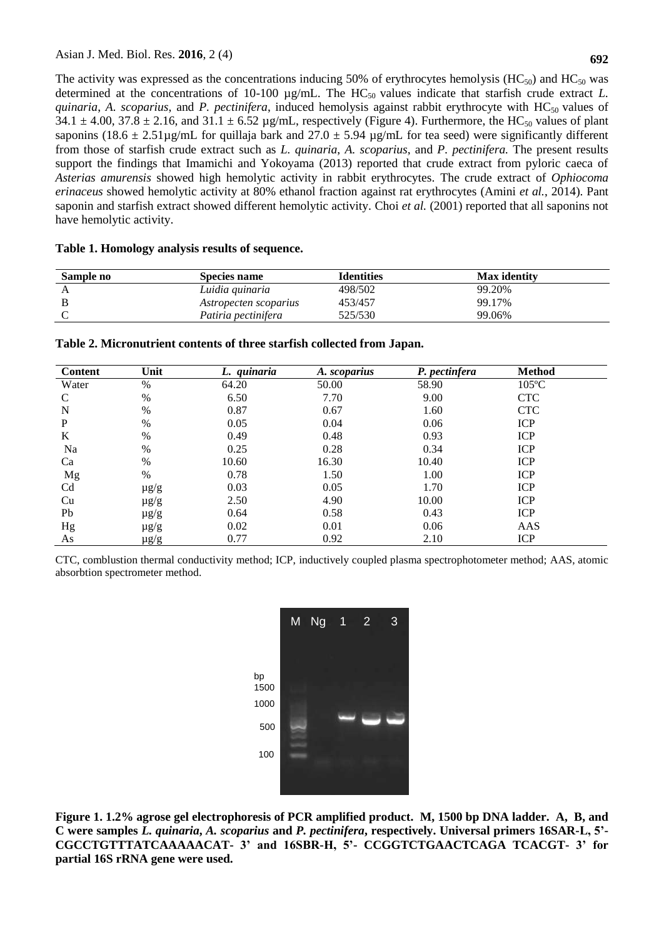The activity was expressed as the concentrations inducing 50% of erythrocytes hemolysis ( $HC_{50}$ ) and  $HC_{50}$  was determined at the concentrations of 10-100  $\mu$ g/mL. The HC<sub>50</sub> values indicate that starfish crude extract *L*. *quinaria*, *A. scoparius*, and *P. pectinifera*, induced hemolysis against rabbit erythrocyte with HC<sub>50</sub> values of  $34.1 \pm 4.00$ ,  $37.8 \pm 2.16$ , and  $31.1 \pm 6.52$  µg/mL, respectively (Figure 4). Furthermore, the HC<sub>50</sub> values of plant saponins (18.6  $\pm$  2.51µg/mL for quillaja bark and 27.0  $\pm$  5.94 µg/mL for tea seed) were significantly different from those of starfish crude extract such as *L. quinaria*, *A. scoparius*, and *P. pectinifera.* The present results support the findings that Imamichi and Yokoyama (2013) reported that crude extract from pyloric caeca of *Asterias amurensis* showed high hemolytic activity in rabbit erythrocytes. The crude extract of *Ophiocoma erinaceus* showed hemolytic activity at 80% ethanol fraction against rat erythrocytes (Amini *et al.*, 2014). Pant saponin and starfish extract showed different hemolytic activity. Choi *et al.* (2001) reported that all saponins not have hemolytic activity.

| Sample no | Species name          | <b>Identities</b> | <b>Max</b> identity |
|-----------|-----------------------|-------------------|---------------------|
|           | Luidia guinaria       | 498/502           | 99.20%              |
|           | Astropecten scoparius | 453/457           | 99.17%              |
|           | Patiria pectinifera   | 525/530           | 99.06%              |

### **Table 1. Homology analysis results of sequence.**

| <b>Content</b> | Unit      | L. quinaria | A. scoparius | P. pectinfera | <b>Method</b>   |
|----------------|-----------|-------------|--------------|---------------|-----------------|
| Water          | %         | 64.20       | 50.00        | 58.90         | $105^{\circ}$ C |
| C              | $\%$      | 6.50        | 7.70         | 9.00          | <b>CTC</b>      |
| N              | $\%$      | 0.87        | 0.67         | 1.60          | <b>CTC</b>      |
| P              | %         | 0.05        | 0.04         | 0.06          | <b>ICP</b>      |
| K              | $\%$      | 0.49        | 0.48         | 0.93          | <b>ICP</b>      |
| Na             | $\%$      | 0.25        | 0.28         | 0.34          | <b>ICP</b>      |
| Ca             | $\%$      | 10.60       | 16.30        | 10.40         | <b>ICP</b>      |
| Mg             | $\%$      | 0.78        | 1.50         | 1.00          | <b>ICP</b>      |
| C <sub>d</sub> | $\mu$ g/g | 0.03        | 0.05         | 1.70          | <b>ICP</b>      |
| Cu             | $\mu$ g/g | 2.50        | 4.90         | 10.00         | <b>ICP</b>      |
| Pb             | $\mu$ g/g | 0.64        | 0.58         | 0.43          | <b>ICP</b>      |
| Hg             | $\mu$ g/g | 0.02        | 0.01         | 0.06          | AAS             |
| As             | $\mu$ g/g | 0.77        | 0.92         | 2.10          | <b>ICP</b>      |

**Table 2. Micronutrient contents of three starfish collected from Japan.**

CTC, comblustion thermal conductivity method; ICP, inductively coupled plasma spectrophotometer method; AAS, atomic absorbtion spectrometer method.



**Figure 1. 1.2% agrose gel electrophoresis of PCR amplified product. M, 1500 bp DNA ladder. A, B, and C were samples** *L. quinaria***,** *A. scoparius* **and** *P. pectinifera***, respectively. Universal primers 16SAR-L, 5'- CGCCTGTTTATCAAAAACAT- 3' and 16SBR-H, 5'- CCGGTCTGAACTCAGA TCACGT- 3' for**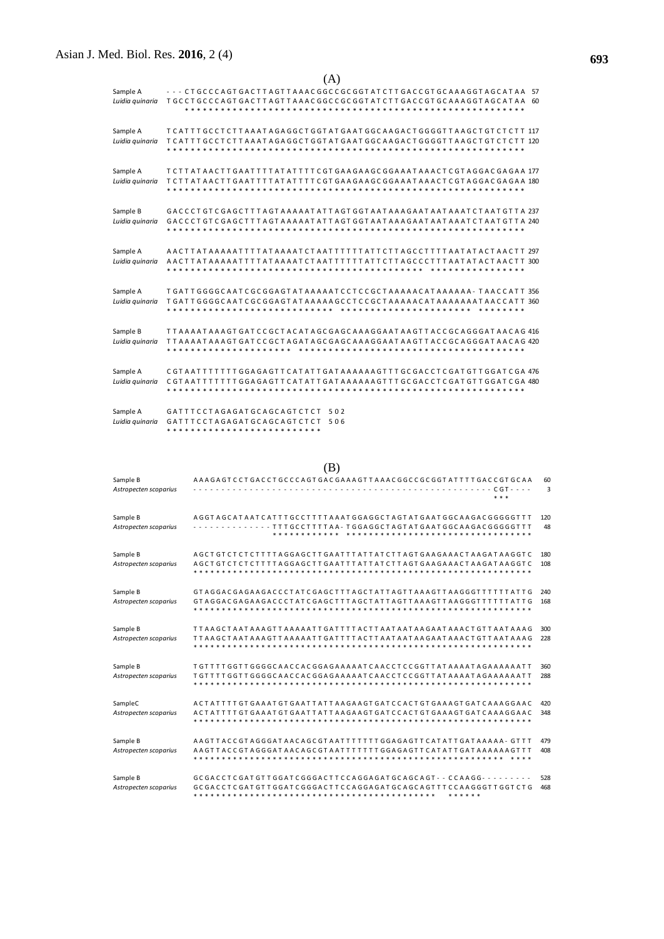| (A)                         |                                                                                                                                    |  |  |  |  |  |
|-----------------------------|------------------------------------------------------------------------------------------------------------------------------------|--|--|--|--|--|
| Sample A                    | --- CTGCCCAGTGACTTAGTTAAACGGCCGCGGTATCTTGACCGTGCAAAGGTAGCATAA 57                                                                   |  |  |  |  |  |
| Luidia guinaria             | TGCCTGCCCAGTGACTTAGTTAAACGGCCGCGGTATCTTGACCGTGCAAAGGTAGCATAA 60                                                                    |  |  |  |  |  |
|                             |                                                                                                                                    |  |  |  |  |  |
| Sample A                    | TCATTT GCCTCTT A A A T A G A G GCT G GT A T G A A T G G C A A G A C T G G GGT T A A G C T G T C T C T T 117                        |  |  |  |  |  |
| Luidia guinaria             | T C A T T T G C C T C T T A A A T A G A G G C T G G T A T G A C C A A G A C T G G G G T T A A G C T C T C T T 120                  |  |  |  |  |  |
|                             | * * * * * * * * * * * * * * *                                                                                                      |  |  |  |  |  |
| Sample A                    | T C T T A T A A C T T G A A T T T T A T A T T T T C G T G A A G A A G G A A A T A A A C T C G T A G G A C G A G A A 177            |  |  |  |  |  |
| Luidia quinaria             | T C T T A T A A C T T G A A T T T T A T A T T T T C G T G A A A G C G G A A A T A A A C T C G T A G G A C G A G A A 180            |  |  |  |  |  |
|                             |                                                                                                                                    |  |  |  |  |  |
| Sample B                    | GACCCTGTCGAGCTTTAGTAAAAATATTAGTGGTAATAAAGAATAATAAATCTAATGTTA 237                                                                   |  |  |  |  |  |
| Luidia guinaria             | GACCCTGTCGAGCTTTAGTAAAAATATTAGTGGTAATAAAGAATAATAAATCTAATGTTA 240                                                                   |  |  |  |  |  |
|                             |                                                                                                                                    |  |  |  |  |  |
| Sample A                    | AACTTATAAAAATTTTATAAAATCTAATTTTTTATTCTTAGCCTTTTAATATACTAACTT 297                                                                   |  |  |  |  |  |
| Luidia quinaria             |                                                                                                                                    |  |  |  |  |  |
|                             | * * *<br>* * * * * * * *<br>* * * * *                                                                                              |  |  |  |  |  |
| Sample A                    | T GAT T G G G C A A T C G C G G A G T A T A A A A A T C C T C C G C T A A A A A C A A A A A A A - T A A C C A T T 356              |  |  |  |  |  |
| Luidia guinaria             | T GATT GGGGC AAT C GC GGAGT AT AAAAAG C C T C C GC T AAAAAC AT AAAAAAAT AAC C AT T 360                                             |  |  |  |  |  |
|                             | * * * * * * * * * * * * * * * * * *                                                                                                |  |  |  |  |  |
| Sample B                    | T T A A A A T A A A G T G A T C C G C T A C A T A G C G A G A G A G A T A A G T T A C C G C A G G G A T A A C A G 416              |  |  |  |  |  |
| Luidia guinaria             | T T A A A A T A A A G T G A T C C G C T A G A T A G C G A G A G A G A T A A G T T A C C G C A G G G A T A A C A G 420              |  |  |  |  |  |
|                             |                                                                                                                                    |  |  |  |  |  |
|                             |                                                                                                                                    |  |  |  |  |  |
| Sample A<br>Luidia guinaria | CGTAATTTTTTTGGAGAGTTCATATTGATAAAAAAGTTTGCGACCTCGATGTTGGATCGA476<br>CGTAATTTTTTTGGAGAGTTCATATTGATAAAAAAGTTTGCGACCTCGATGTTGGATCGA480 |  |  |  |  |  |
|                             |                                                                                                                                    |  |  |  |  |  |
|                             |                                                                                                                                    |  |  |  |  |  |
| Sample A<br>Luidia quinaria | GATTTCCTAGAGATGCAGCAGTCTCT<br>502<br>GATTTCCTAGAGATGCAGCAGTCTCT<br>506                                                             |  |  |  |  |  |
|                             |                                                                                                                                    |  |  |  |  |  |

Sample B AA A G A G A G A G C C C A G T G A C G A C G A A A G T A A C G G C C G C G G T A T T T T G A C C G T G C A A *Astropecten scoparius* - - - - - - - - - - - - - - - - - - - - - - - - - - - - - - - - - - - - - - - - - - - - - - - - - - - - - C G T - - - - 3 \* \* \* Sample B A G G T A G C A T A A T C A T T T G C C T T T T A A A T G G A G T A T G A A T G G C A A G A C G G G G G T T T 120 Astropecten scoparius - - - - - - - - - - - - - - - T T T G C C T T T T A A - T G G A G G C T A G T A G T A G T A G T A G T A G C A A G A C G G G G G G T T T 48 \* \* \* \* \* \* \* \* \* \* \* \* \* Sample B A G C T G T C T C T C T T T T A G G A G C T T G A A T T T A T T A T T A T T A G T G A A G A A A C T A A G A T C T 280 *Astropecten scoparius* A G C T G T C T C T C T T T T A G G A G C T T G A A T T T A T T A T C T T A G T G A A G A A A C T A A G A T A A G G T C 108 \* \* \* \* \* \* \* \* \* \* \* \* \* \* \* \* \* \* \* \* \* \* \* \* \* \* \* \* \* \* \* \* \* \* \* \* \* \* \* \* \* \* \* \* \* \* \* \* \* \* \* \* \* \* \* \* \* \* \* \* Sample B GT A G G A C G A G A A G A C C C T A T C G A G C T C T T T G A C T T T T T T T T T T T T T G 240 *Astropecten scoparius* G T A G G A C G A G A A G A C C C T A T C G A G C T T T A G C T A T T A G T T A A A G T T A A G G G T T T T T T A T T G 168 \* \* \* \* \* \* \* \* \* \* \* \* \* \* \* \* \* \* \* \* \* \* \* \* \* \* \* \* \* \* \* \* \* \* \* \* \* \* \* \* \* \* \* \* \* \* \* \* \* \* \* \* \* \* \* \* \* \* \* \* Sample B T T A A G C T A A T A A A G T T A A A A A T T G A T T T T A C T T A A T A A T A A G A A T A A A C T G T T A A T A A A G 300 *Astropecten scoparius* T T A A G C T A A T A A A G T T A A A A A T T G A T T T T A C T T A A T A A T A A G A A T A A A C T G T T A A T A A A G 228 \* \* \* \* \* \* \* \* \* \* \* \* \* \* \* \* \* \* \* \* \* \* \* \* \* \* \* \* \* \* \* \* \* \* \* \* \* \* \* \* \* \* \* \* \* \* \* \* \* \* \* \* \* \* \* \* \* \* \* \* Sample B T G T T T T G G T T G G G G G C A A C C A C G G A A A A A T C A A C C T C C G G T T A T A A A A T A G A A A A A T T 7 288<br>Astropecten scoparius T G T T T T G G T T G G G G C A A C C A G G A A A A A T C A A C C T C *Astropecten scoparius* T G T T T T G G T T G G G G C A A C C A C G G A G A A A A A T C A A C C T C C G G T T A T A A A A T A G A A A A A A T T 288 \* \* \* \* \* \* \* \* \* \* \* \* \* \* \* \* \* \* \* \* \* \* \* \* \* \* \* \* \* \* \* \* \* \* \* \* \* \* \* \* \* \* \* \* \* \* \* \* \* \* \* \* \* \* \* \* \* \* \* \* SampleC A C T A T T T T G T G A A A T G T G A A T T A T T A A G A A G T G A T C C A C T G T G A A A G T G A T C A A A G G A A C 420 *Astropecten scoparius* A C T A T T T T G T G A A A T G T G A A T T A T T A A G A A G T G A T C C A C T G T G A A A G T G A T C A A A G G A A C 348 \* \* \* \* \* \* \* \* \* \* \* \* \* \* \* \* \* \* \* \* \* \* \* \* \* \* \* \* \* \* \* \* \* \* \* \* \* \* \* \* \* \* \* \* \* \* \* \* \* \* \* \* \* \* \* \* \* \* \* \* Sample B A A G T T A C C G T A G G G A T A A C A G C G T A A T T T T T T T T G G A G A G T T C A T A T T G A T A A A A A - G T T T 479 *Astropecten scoparius* A A G T T A C C G T A G G G A T A A C A G C G T A A T T T T T T T G G A G A G T T C A T A T T G A T A A A A A A G T T T 408 \* \* \* \* \* \* \* \* \* \* \* \* \* \* \* \* \* \* \* \* \* \* \* \* \* \* \* \* \* \* \* \* \* \* \* \* \* \* \* \* \* \* \* \* \* \* \* \* \* \* \* \* \* \* \* \* \* \* \* Sample B G C G A C C T C G A T G G A T C G G G A C T T C C A G G A G G C A GT - - C C A A G G - - - - - - - - - 528 Astropecten scoparius GCGACCTCGATGTTGGATCGGGACTTCCAGGAGATGCAGCAGTTTCCAAGGGTTGGTCTG 468 \* \* \* \* \* \* \* \* \* \* \* \* \* \* \* \* \* \* \* \* \* \* \* \* \* \* \* \* \* \* \* \* \* \* \* \* \* \* \* \* \* \* \* \* \* \* \* \* \*

(B)

**693**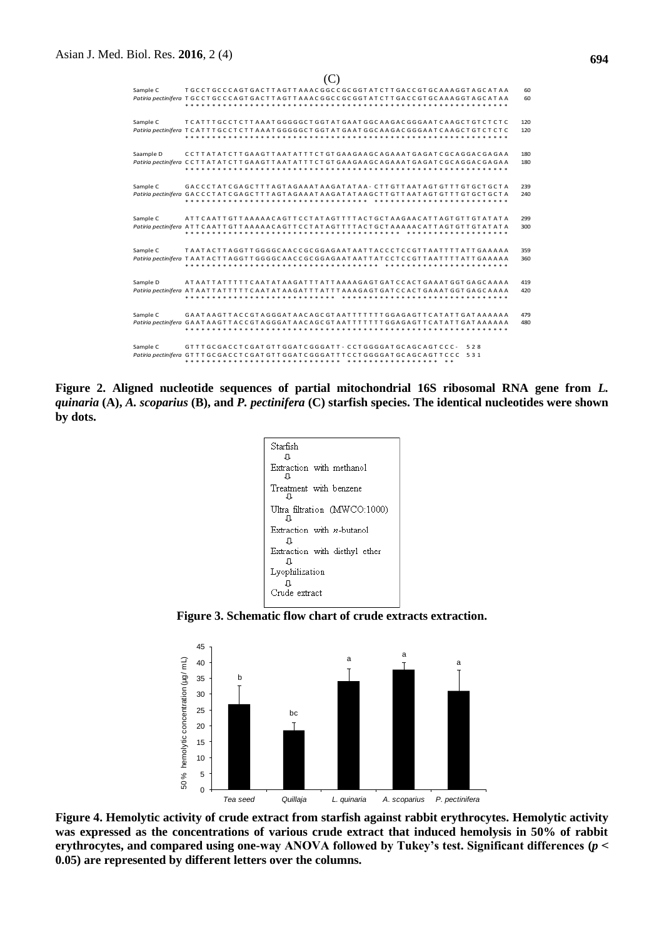| Sample C                                                     |                                                                                                                  | いっ<br>TGCCTGCCCAGTGACTTAGTTAAACGGCCGCGGTATCTTGACCGTGCAAAGGTAGCATAA<br>Patiria pectinifera TGCCTGCCCAGTGACTTAGTTAAACGGCCGCGGTATCTTGACCGTGCAAAGGTAGCATAA                                                                                                                             |                                          | 60<br>60   |
|--------------------------------------------------------------|------------------------------------------------------------------------------------------------------------------|------------------------------------------------------------------------------------------------------------------------------------------------------------------------------------------------------------------------------------------------------------------------------------|------------------------------------------|------------|
| Sample C                                                     |                                                                                                                  | TCATTTGCCTCTTAAATGGGGGCTGGTATGAATGGCAAGACGGGAATCAAGCTGTCTCTC<br>Patiria pectinifera TCATTTGCCTCTTAAATGGGGGCTGGTATGAATGGCAAGACGGGAATCAAGCTGTCTCTC                                                                                                                                   |                                          | 120<br>120 |
| Saample D                                                    |                                                                                                                  | CCTTATATCTTGAAGTTAATATTTCTGTGAAGAAGCAGAAATGAGATCGCAGGACGAGAA<br>Patiria pectinifera  CCTTATATCTTGAAGTTAATATTTCTGTGAAGAAGCAGAAATGAGATCGCAGGACGAGAA                                                                                                                                  |                                          | 180<br>180 |
| Sample C                                                     |                                                                                                                  | GACCCTATCGAGCTTTAGTAGAAATAAGATATAA - CTTGTTAATAGTGTTTGTGCTGCTA<br>Patiria pectinifera <code>GACCCTATCGAGCTTTAGTAGAAATAAGATATAAGCTTGTTAATAGTGTTTGTGCTGCTA</code><br>* * * * * * * * * * * * * * * *                                                                                 |                                          | 239<br>240 |
| Sample C                                                     |                                                                                                                  | ATTCAATT GTTAAAAACAGTTC CT AT AGTTTTACT GCTAAGAACATT AGT GTTGT AT AT A<br>Patiria pectinifera  ATTCAATTGTTAAAAACAGTTCCTATAGTTTTACTGCTAAAAACATTAGTGTTGTATATA                                                                                                                        |                                          | 299<br>300 |
| Sample C                                                     |                                                                                                                  | TAATACTTAGGTTGGGGCAACCGCGGAGAATAATTACCCTCCGTTAATTTTATTGAAAAA<br>Patiria pectinifera TAATACTTAGGTTGGGGCAACCGCGGAAAATTATTCCCCCCTTAATTTTATTCAAAAA                                                                                                                                     |                                          | 359<br>360 |
| Sample D                                                     |                                                                                                                  | Patiria pectinifera  ATAATTATTTTTCAATATAAGATTTATTTAAAGAGTGATCCACTGAAATGGTGAGCAAAA                                                                                                                                                                                                  |                                          | 419<br>420 |
| Sample C                                                     |                                                                                                                  | GAATAAGTTACCGTAGGGATAACAGCGTAATTTTTTTGGAGAGTTCATATTGATAAAAAA<br>Patiria pectinifera <code>GAATAAGTTACCGTAGGGATAACAGCGTAATTTTTTTGGAGAGTTCATATTGATAAAAA</code>                                                                                                                       |                                          | 479<br>480 |
| Sample C                                                     |                                                                                                                  | GTTTGCGACCTCGATGTTGGATCGGGATT - CCTGGGGATGCAGCAGTCCC -<br>Patiria pectinifera GTTTGCGACCTCGATGTTGGATCGGGATTTCCTGGGGATGCAGCAGTTCCC 531                                                                                                                                              | 528                                      |            |
|                                                              |                                                                                                                  | Starfish<br>IJ<br>Extraction with methanol<br>IJ.<br>Treatment with benzene<br>IJ<br>Ultra filtration (MWCO:1000)<br>л<br>Extraction with <i>n</i> -butanol<br>Л<br>Extraction with diethyl ether<br>J<br>Lyophilization                                                           |                                          |            |
|                                                              |                                                                                                                  | J<br>Crude extract                                                                                                                                                                                                                                                                 |                                          |            |
|                                                              |                                                                                                                  | Figure 3. Schematic flow chart of crude extracts extraction.                                                                                                                                                                                                                       |                                          |            |
|                                                              | 45<br>50 % hemolytic concentration (µg/ mL)<br>40<br>b<br>35<br>30<br>25<br>20<br>15<br>10<br>5<br>0<br>Tea seed | а<br>bc<br>Quillaja<br>L. quinaria                                                                                                                                                                                                                                                 | а<br>а<br>A. scoparius<br>P. pectinifera |            |
| 0.05) are represented by different letters over the columns. |                                                                                                                  | Figure 4. Hemolytic activity of crude extract from starfish against rabbit erythrocytes. Hen<br>was expressed as the concentrations of various crude extract that induced hemolysis in :<br>erythrocytes, and compared using one-way ANOVA followed by Tukey's test. Significant d |                                          |            |

 $($ 

**Figure 2. Aligned nucleotide sequences of partial mitochondrial 16S ribosomal RNA gene from** *L. quinaria* **(A),** *A. scoparius* **(B), and** *P. pectinifera* **(C) starfish species. The identical nucleotides were shown by dots.**



**Figure 3. Schematic flow chart of crude extracts extraction.**



**Figure 4. Hemolytic activity of crude extract from starfish against rabbit erythrocytes. Hemolytic activity was expressed as the concentrations of various crude extract that induced hemolysis in 50% of rabbit erythrocytes, and compared using one-way ANOVA followed by Tukey's test. Significant differences (***p* **˂**